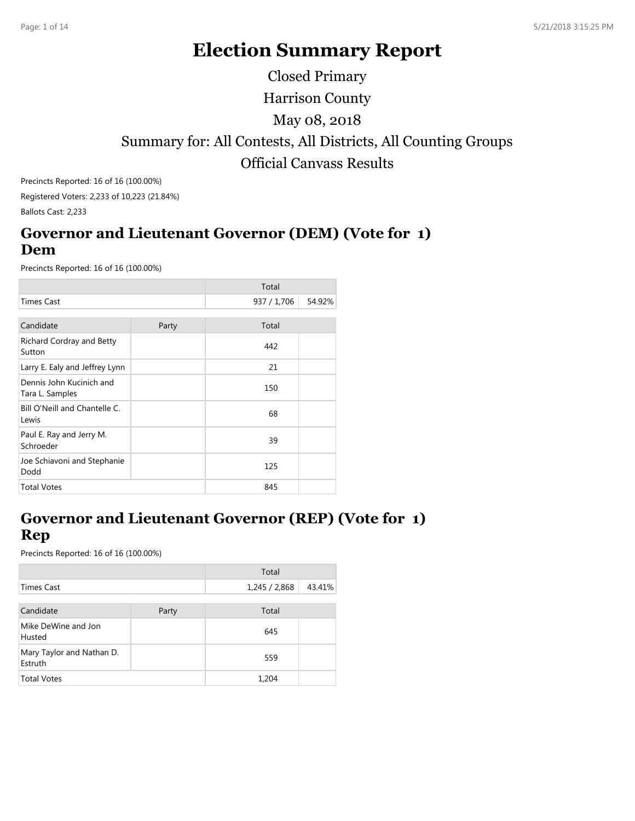# **Election Summary Report**

Harrison County Summary for: All Contests, All Districts, All Counting Groups Official Canvass Results May 08, 2018 Closed Primary

Precincts Reported: 16 of 16 (100.00%) Registered Voters: 2,233 of 10,223 (21.84%) Ballots Cast: 2,233

#### **Governor and Lieutenant Governor (DEM) (Vote for 1) Dem**

Precincts Reported: 16 of 16 (100.00%)

|                                             |       | Total       |        |
|---------------------------------------------|-------|-------------|--------|
| <b>Times Cast</b>                           |       | 937 / 1,706 | 54.92% |
|                                             |       |             |        |
| Candidate                                   | Party | Total       |        |
| Richard Cordray and Betty<br>Sutton         |       | 442         |        |
| Larry E. Ealy and Jeffrey Lynn              |       | 21          |        |
| Dennis John Kucinich and<br>Tara L. Samples |       | 150         |        |
| Bill O'Neill and Chantelle C.<br>Lewis      |       | 68          |        |
| Paul E. Ray and Jerry M.<br>Schroeder       |       | 39          |        |
| Joe Schiavoni and Stephanie<br>Dodd         |       | 125         |        |
| <b>Total Votes</b>                          |       | 845         |        |

## **Governor and Lieutenant Governor (REP) (Vote for 1) Rep**

|                                      |       | Total         |        |
|--------------------------------------|-------|---------------|--------|
| Times Cast                           |       | 1,245 / 2,868 | 43.41% |
|                                      |       |               |        |
| Candidate                            | Party | Total         |        |
| Mike DeWine and Jon<br>Husted        |       | 645           |        |
| Mary Taylor and Nathan D.<br>Estruth |       | 559           |        |
| <b>Total Votes</b>                   |       | 1,204         |        |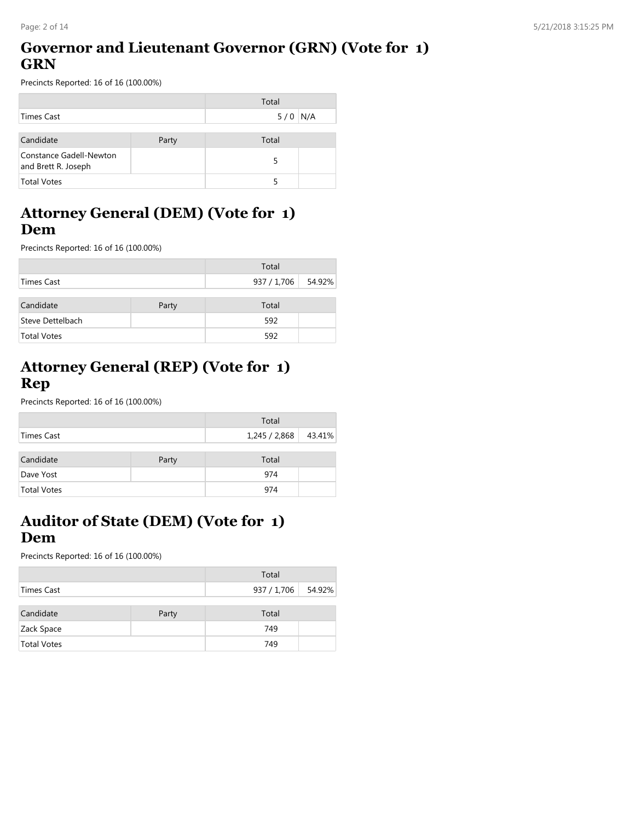## **Governor and Lieutenant Governor (GRN) (Vote for 1) GRN**

Precincts Reported: 16 of 16 (100.00%)

|                                                |       | Total     |  |
|------------------------------------------------|-------|-----------|--|
| Times Cast                                     |       | $5/0$ N/A |  |
|                                                |       |           |  |
| Candidate                                      | Party | Total     |  |
| Constance Gadell-Newton<br>and Brett R. Joseph |       |           |  |
| <b>Total Votes</b>                             |       |           |  |

#### **Attorney General (DEM) (Vote for 1) Dem**

Precincts Reported: 16 of 16 (100.00%)

|                    |       | Total       |        |
|--------------------|-------|-------------|--------|
| Times Cast         |       | 937 / 1,706 | 54.92% |
| Candidate          | Party | Total       |        |
| Steve Dettelbach   |       | 592         |        |
| <b>Total Votes</b> |       | 592         |        |

## **Attorney General (REP) (Vote for 1) Rep**

Precincts Reported: 16 of 16 (100.00%)

|                    |       | Total                  |  |
|--------------------|-------|------------------------|--|
| Times Cast         |       | 1,245 / 2,868   43.41% |  |
| Candidate          | Party | Total                  |  |
| Dave Yost          |       | 974                    |  |
| <b>Total Votes</b> |       | 974                    |  |

## **Auditor of State (DEM) (Vote for 1) Dem**

|                    |       | Total       |        |
|--------------------|-------|-------------|--------|
| Times Cast         |       | 937 / 1,706 | 54.92% |
|                    |       |             |        |
| Candidate          | Party | Total       |        |
| Zack Space         |       | 749         |        |
| <b>Total Votes</b> |       | 749         |        |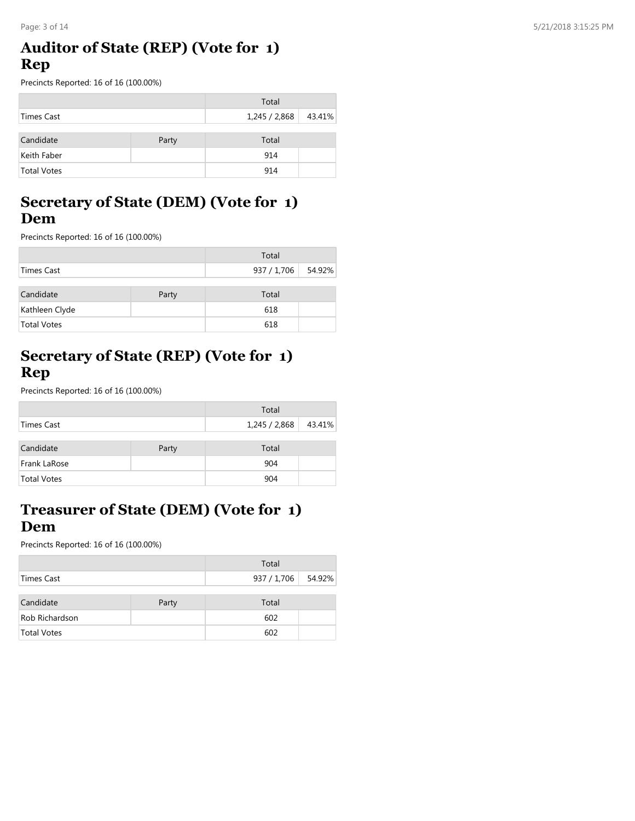#### **Auditor of State (REP) (Vote for 1) Rep**

Precincts Reported: 16 of 16 (100.00%)

|                    |       | Total       |        |
|--------------------|-------|-------------|--------|
| Times Cast         |       | 1,245/2,868 | 43.41% |
| Candidate          | Party | Total       |        |
| Keith Faber        |       | 914         |        |
| <b>Total Votes</b> |       | 914         |        |

#### **Secretary of State (DEM) (Vote for 1) Dem**

Precincts Reported: 16 of 16 (100.00%)

|                    |       | Total       |        |
|--------------------|-------|-------------|--------|
| Times Cast         |       | 937 / 1,706 | 54.92% |
| Candidate          | Party | Total       |        |
| Kathleen Clyde     |       | 618         |        |
| <b>Total Votes</b> |       | 618         |        |

## **Secretary of State (REP) (Vote for 1) Rep**

Precincts Reported: 16 of 16 (100.00%)

|                    |  | Total         |        |
|--------------------|--|---------------|--------|
| Times Cast         |  | 1,245 / 2,868 | 43.41% |
| Candidate<br>Party |  | Total         |        |
| Frank LaRose       |  | 904           |        |
| <b>Total Votes</b> |  | 904           |        |

## **Treasurer of State (DEM) (Vote for 1) Dem**

|                    |       | Total              |  |
|--------------------|-------|--------------------|--|
| Times Cast         |       | 937 / 1,706 54.92% |  |
|                    |       |                    |  |
| Candidate          | Party | Total              |  |
| Rob Richardson     |       | 602                |  |
| <b>Total Votes</b> |       | 602                |  |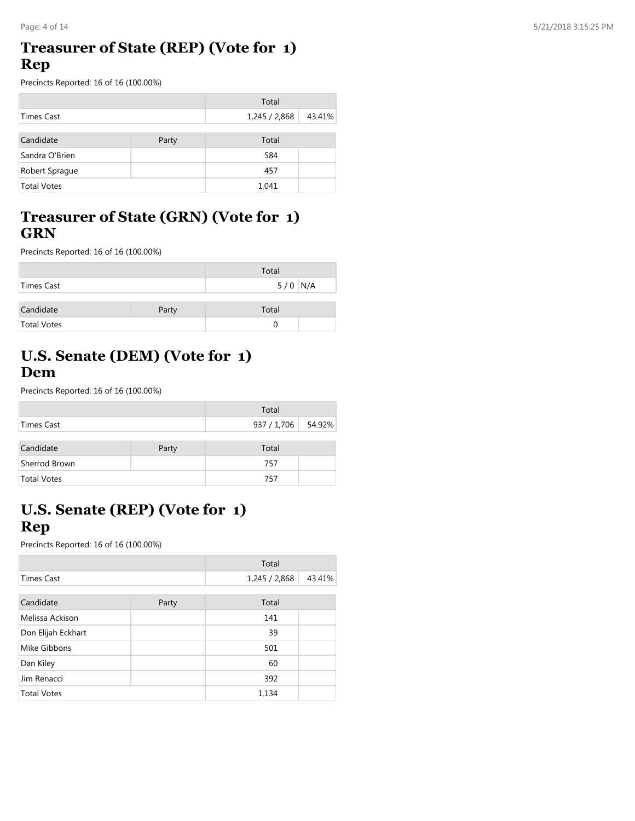#### **Treasurer of State (REP) (Vote for 1) Rep**

Precincts Reported: 16 of 16 (100.00%)

|                    |       | Total         |        |
|--------------------|-------|---------------|--------|
| Times Cast         |       | 1,245 / 2,868 | 43.41% |
|                    |       |               |        |
| Candidate          | Party | Total         |        |
| Sandra O'Brien     |       | 584           |        |
| Robert Sprague     |       | 457           |        |
| <b>Total Votes</b> |       | 1,041         |        |

#### **Treasurer of State (GRN) (Vote for 1) GRN**

Precincts Reported: 16 of 16 (100.00%)

|             |       | Total     |
|-------------|-------|-----------|
| Times Cast  |       | $5/0$ N/A |
|             |       |           |
| Candidate   | Party | Total     |
| Total Votes |       |           |

# **U.S. Senate (DEM) (Vote for 1) Dem**

Precincts Reported: 16 of 16 (100.00%)

|                    |       | Total              |  |
|--------------------|-------|--------------------|--|
| Times Cast         |       | 937 / 1,706 54.92% |  |
| Candidate          | Party | Total              |  |
| Sherrod Brown      |       | 757                |  |
| <b>Total Votes</b> |       | 757                |  |

# **U.S. Senate (REP) (Vote for 1) Rep**

|                    |       | Total         |        |
|--------------------|-------|---------------|--------|
| <b>Times Cast</b>  |       | 1,245 / 2,868 | 43.41% |
|                    |       |               |        |
| Candidate          | Party | Total         |        |
| Melissa Ackison    |       | 141           |        |
| Don Elijah Eckhart |       | 39            |        |
| Mike Gibbons       |       | 501           |        |
| Dan Kiley          |       | 60            |        |
| Jim Renacci        |       | 392           |        |
| <b>Total Votes</b> |       | 1,134         |        |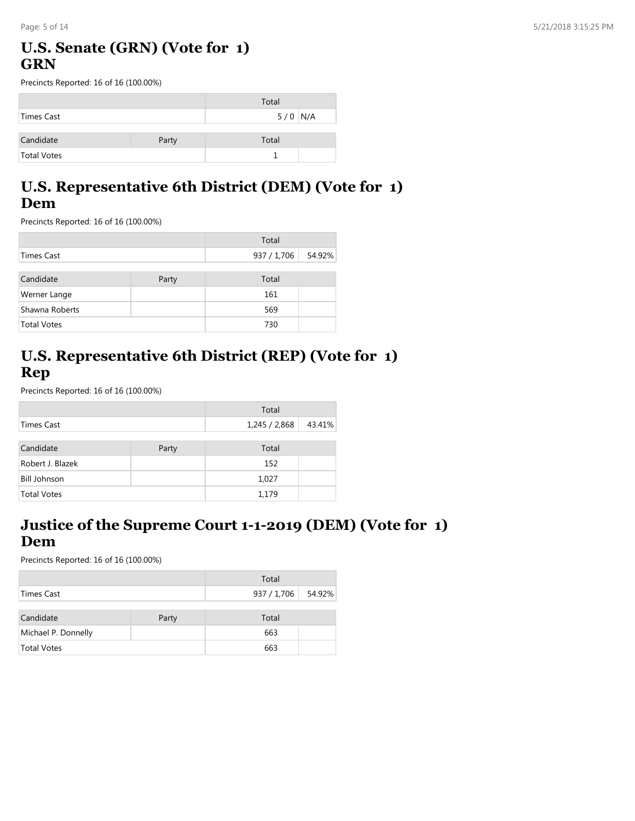## **U.S. Senate (GRN) (Vote for 1) GRN**

Precincts Reported: 16 of 16 (100.00%)

|             |       | Total     |  |
|-------------|-------|-----------|--|
| Times Cast  |       | $5/0$ N/A |  |
|             |       |           |  |
| Candidate   | Party | Total     |  |
| Total Votes |       |           |  |

#### **U.S. Representative 6th District (DEM) (Vote for 1) Dem**

Precincts Reported: 16 of 16 (100.00%)

|                    |       | Total       |        |
|--------------------|-------|-------------|--------|
| Times Cast         |       | 937 / 1,706 | 54.92% |
| Candidate          | Party | Total       |        |
| Werner Lange       |       | 161         |        |
| Shawna Roberts     |       | 569         |        |
| <b>Total Votes</b> |       | 730         |        |

# **U.S. Representative 6th District (REP) (Vote for 1) Rep**

Precincts Reported: 16 of 16 (100.00%)

|                     |       | Total         |        |
|---------------------|-------|---------------|--------|
| Times Cast          |       | 1,245 / 2,868 | 43.41% |
|                     |       |               |        |
| Candidate           | Party | Total         |        |
| Robert J. Blazek    |       | 152           |        |
| <b>Bill Johnson</b> |       | 1,027         |        |
| <b>Total Votes</b>  |       | 1,179         |        |

## **Justice of the Supreme Court 1-1-2019 (DEM) (Vote for 1) Dem**

|                     |       | Total              |  |
|---------------------|-------|--------------------|--|
| Times Cast          |       | 937 / 1,706 54.92% |  |
| Candidate           | Party | Total              |  |
| Michael P. Donnelly |       | 663                |  |
| <b>Total Votes</b>  |       | 663                |  |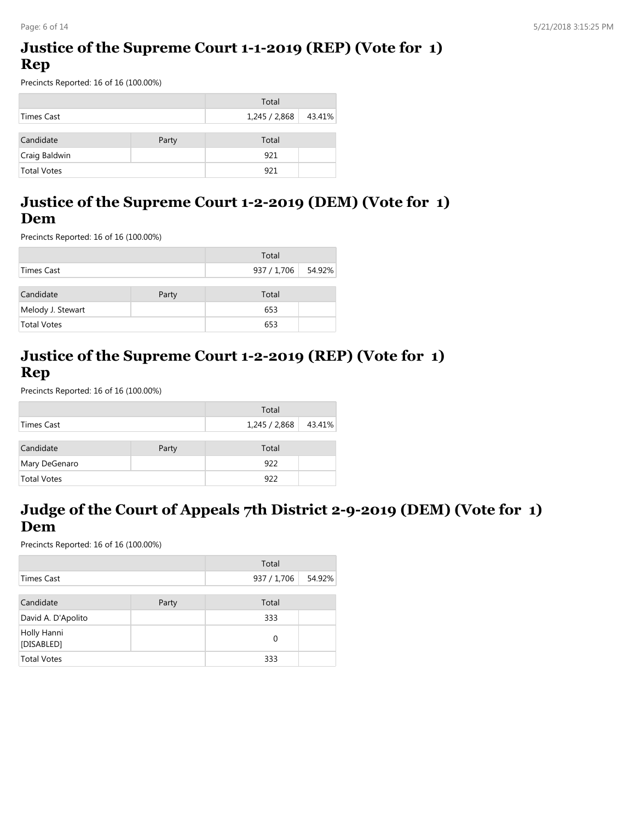## **Justice of the Supreme Court 1-1-2019 (REP) (Vote for 1) Rep**

Precincts Reported: 16 of 16 (100.00%)

|                    |       | Total         |        |
|--------------------|-------|---------------|--------|
| Times Cast         |       | 1,245 / 2,868 | 43.41% |
| Candidate          | Party | Total         |        |
| Craig Baldwin      |       | 921           |        |
| <b>Total Votes</b> |       | 921           |        |

#### **Justice of the Supreme Court 1-2-2019 (DEM) (Vote for 1) Dem**

Precincts Reported: 16 of 16 (100.00%)

|                    |       | Total              |  |
|--------------------|-------|--------------------|--|
| Times Cast         |       | 937 / 1,706 54.92% |  |
| Candidate          | Party | Total              |  |
| Melody J. Stewart  |       | 653                |  |
| <b>Total Votes</b> |       | 653                |  |

## **Justice of the Supreme Court 1-2-2019 (REP) (Vote for 1) Rep**

Precincts Reported: 16 of 16 (100.00%)

|                    |       | Total         |        |
|--------------------|-------|---------------|--------|
| Times Cast         |       | 1,245 / 2,868 | 43.41% |
| Candidate          | Party | Total         |        |
| Mary DeGenaro      |       | 922           |        |
| <b>Total Votes</b> |       | 922           |        |

## **Judge of the Court of Appeals 7th District 2-9-2019 (DEM) (Vote for 1) Dem**

|                           |       | Total       |        |
|---------------------------|-------|-------------|--------|
| Times Cast                |       | 937 / 1,706 | 54.92% |
| Candidate                 | Party | Total       |        |
| David A. D'Apolito        |       | 333         |        |
| Holly Hanni<br>[DISABLED] |       | 0           |        |
| <b>Total Votes</b>        |       | 333         |        |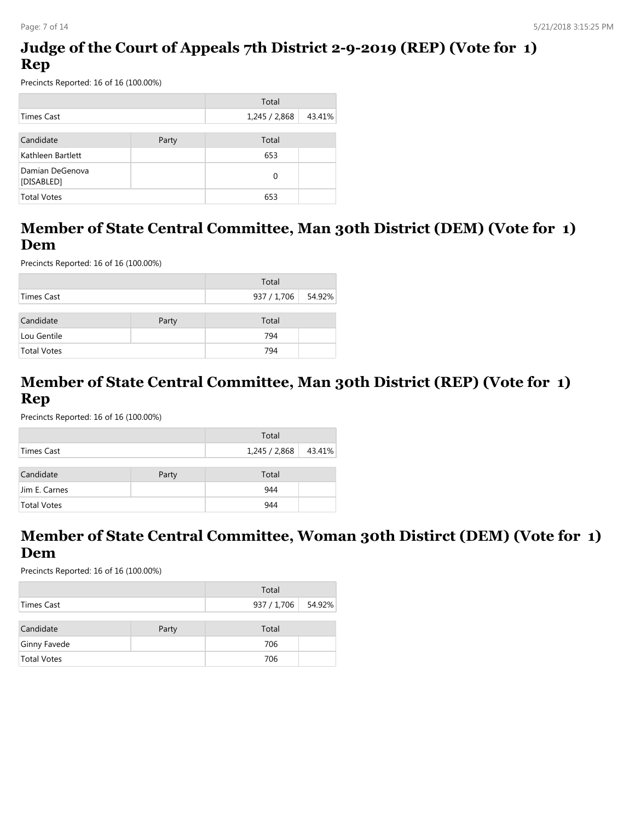## **Judge of the Court of Appeals 7th District 2-9-2019 (REP) (Vote for 1) Rep**

Precincts Reported: 16 of 16 (100.00%)

|                               |       | Total         |        |
|-------------------------------|-------|---------------|--------|
| Times Cast                    |       | 1,245 / 2,868 | 43.41% |
| Candidate                     | Party | Total         |        |
| Kathleen Bartlett             |       | 653           |        |
| Damian DeGenova<br>[DISABLED] |       | $\Omega$      |        |
| <b>Total Votes</b>            |       | 653           |        |

#### **Member of State Central Committee, Man 30th District (DEM) (Vote for 1) Dem**

Precincts Reported: 16 of 16 (100.00%)

|             |       | Total              |  |
|-------------|-------|--------------------|--|
| Times Cast  |       | 937 / 1,706 54.92% |  |
| Candidate   | Party | Total              |  |
| Lou Gentile |       | 794                |  |
| Total Votes |       | 794                |  |

#### **Member of State Central Committee, Man 30th District (REP) (Vote for 1) Rep**

Precincts Reported: 16 of 16 (100.00%)

|                    |       | Total       |        |
|--------------------|-------|-------------|--------|
| Times Cast         |       | 1,245/2,868 | 43.41% |
|                    |       |             |        |
| Candidate          | Party | Total       |        |
| Jim E. Carnes      |       | 944         |        |
| <b>Total Votes</b> |       | 944         |        |

#### **Member of State Central Committee, Woman 30th Distirct (DEM) (Vote for 1) Dem**

|            |       | Total              |  |
|------------|-------|--------------------|--|
| Times Cast |       | 937 / 1,706 54.92% |  |
| Candidate  | Party | Total              |  |

| Candidate          | Party | Total |  |
|--------------------|-------|-------|--|
| Ginny Favede       |       | 706   |  |
| <b>Total Votes</b> |       | 706   |  |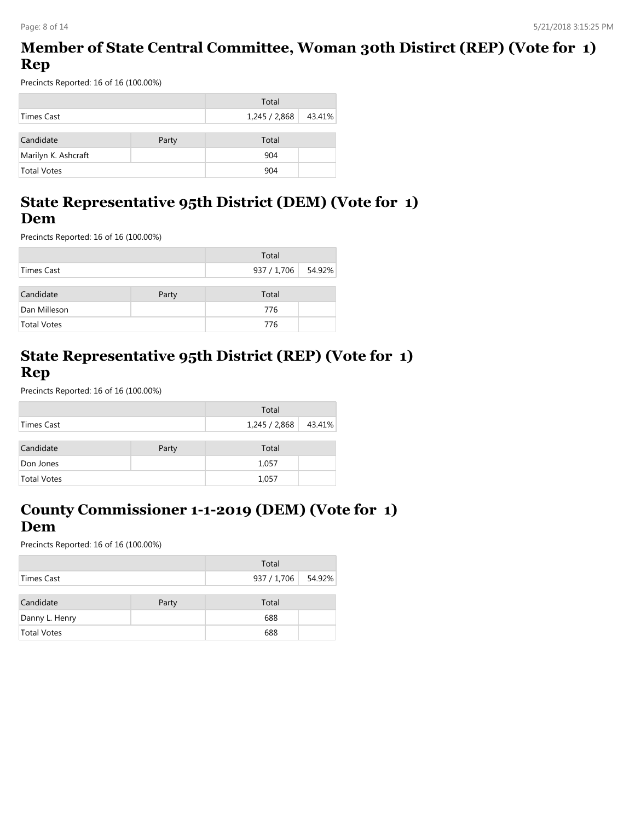#### **Member of State Central Committee, Woman 30th Distirct (REP) (Vote for 1) Rep**

Precincts Reported: 16 of 16 (100.00%)

|                     |       | Total         |        |
|---------------------|-------|---------------|--------|
| Times Cast          |       | 1,245 / 2,868 | 43.41% |
| Candidate           | Party | Total         |        |
| Marilyn K. Ashcraft |       | 904           |        |
| <b>Total Votes</b>  |       | 904           |        |

## **State Representative 95th District (DEM) (Vote for 1) Dem**

Precincts Reported: 16 of 16 (100.00%)

|              |       | Total              |  |
|--------------|-------|--------------------|--|
| Times Cast   |       | 937 / 1,706 54.92% |  |
| Candidate    | Party | Total              |  |
| Dan Milleson |       | 776                |  |
| Total Votes  |       | 776                |  |

## **State Representative 95th District (REP) (Vote for 1) Rep**

Precincts Reported: 16 of 16 (100.00%)

|                    |       | Total                |  |
|--------------------|-------|----------------------|--|
| Times Cast         |       | 1,245 / 2,868 43.41% |  |
| Candidate          | Party | Total                |  |
| Don Jones          |       | 1,057                |  |
| <b>Total Votes</b> |       | 1,057                |  |

## **County Commissioner 1-1-2019 (DEM) (Vote for 1) Dem**

|                    |       | Total              |  |
|--------------------|-------|--------------------|--|
| Times Cast         |       | 937 / 1,706 54.92% |  |
|                    |       |                    |  |
| Candidate          | Party | Total              |  |
| Danny L. Henry     |       | 688                |  |
| <b>Total Votes</b> |       | 688                |  |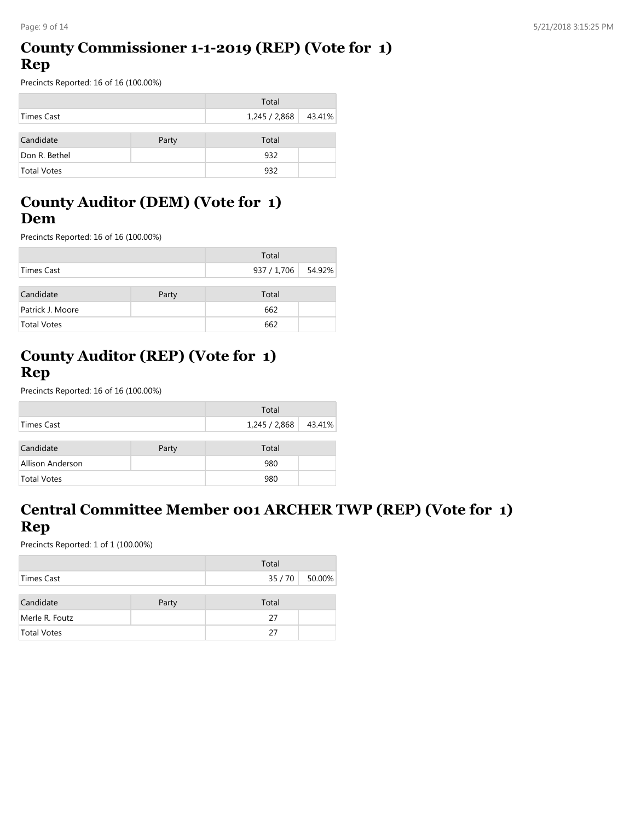## **County Commissioner 1-1-2019 (REP) (Vote for 1) Rep**

Precincts Reported: 16 of 16 (100.00%)

|                    |       | Total       |        |
|--------------------|-------|-------------|--------|
| Times Cast         |       | 1,245/2,868 | 43.41% |
| Candidate          | Party | Total       |        |
| Don R. Bethel      |       | 932         |        |
| <b>Total Votes</b> |       | 932         |        |

## **County Auditor (DEM) (Vote for 1) Dem**

Precincts Reported: 16 of 16 (100.00%)

|                    |       | Total              |  |
|--------------------|-------|--------------------|--|
| Times Cast         |       | 937 / 1,706 54.92% |  |
| Candidate          | Party | Total              |  |
| Patrick J. Moore   |       | 662                |  |
| <b>Total Votes</b> |       | 662                |  |

## **County Auditor (REP) (Vote for 1) Rep**

Precincts Reported: 16 of 16 (100.00%)

|                    |       | Total         |        |
|--------------------|-------|---------------|--------|
| Times Cast         |       | 1,245 / 2,868 | 43.41% |
| Candidate          | Party | Total         |        |
| Allison Anderson   |       | 980           |        |
| <b>Total Votes</b> |       | 980           |        |

## **Central Committee Member 001 ARCHER TWP (REP) (Vote for 1) Rep**

|                    |       | Total |              |
|--------------------|-------|-------|--------------|
| Times Cast         |       |       | 35/70 50.00% |
|                    |       |       |              |
| Candidate          | Party | Total |              |
| Merle R. Foutz     |       | 27    |              |
| <b>Total Votes</b> |       | 27    |              |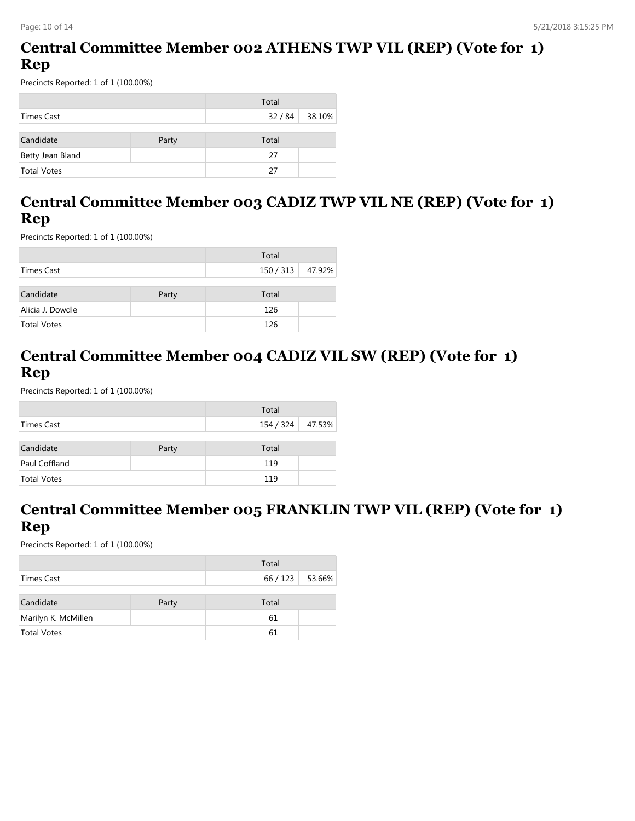## **Central Committee Member 002 ATHENS TWP VIL (REP) (Vote for 1) Rep**

Precincts Reported: 1 of 1 (100.00%)

|                    |       | Total |                |
|--------------------|-------|-------|----------------|
| Times Cast         |       |       | 32 / 84 38.10% |
| Candidate          | Party | Total |                |
| Betty Jean Bland   |       | 27    |                |
| <b>Total Votes</b> |       | 27    |                |

## **Central Committee Member 003 CADIZ TWP VIL NE (REP) (Vote for 1) Rep**

Precincts Reported: 1 of 1 (100.00%)

|                    |       | Total            |  |
|--------------------|-------|------------------|--|
| Times Cast         |       | 150 / 313 47.92% |  |
| Candidate          | Party | Total            |  |
| Alicia J. Dowdle   |       | 126              |  |
| <b>Total Votes</b> |       | 126              |  |

## **Central Committee Member 004 CADIZ VIL SW (REP) (Vote for 1) Rep**

Precincts Reported: 1 of 1 (100.00%)

|                    |       | Total     |        |
|--------------------|-------|-----------|--------|
| Times Cast         |       | 154 / 324 | 47.53% |
|                    |       |           |        |
| Candidate          | Party | Total     |        |
| Paul Coffland      |       | 119       |        |
| <b>Total Votes</b> |       | 119       |        |

## **Central Committee Member 005 FRANKLIN TWP VIL (REP) (Vote for 1) Rep**

|                     |       | Total         |  |
|---------------------|-------|---------------|--|
| Times Cast          |       | 66/123 53.66% |  |
|                     |       |               |  |
| Candidate           | Party | Total         |  |
| Marilyn K. McMillen |       | 61            |  |
| <b>Total Votes</b>  |       | 61            |  |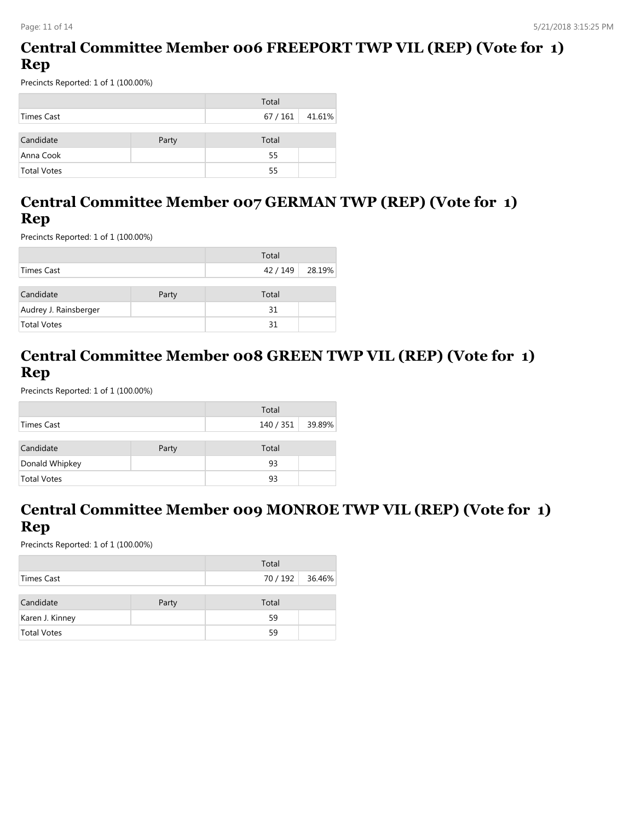## **Central Committee Member 006 FREEPORT TWP VIL (REP) (Vote for 1) Rep**

Precincts Reported: 1 of 1 (100.00%)

|                    |       | Total           |  |
|--------------------|-------|-----------------|--|
| Times Cast         |       | $67/161$ 41.61% |  |
|                    |       |                 |  |
| Candidate          | Party | Total           |  |
| Anna Cook          |       | 55              |  |
| <b>Total Votes</b> |       | 55              |  |

## **Central Committee Member 007 GERMAN TWP (REP) (Vote for 1) Rep**

Precincts Reported: 1 of 1 (100.00%)

|                       |       | Total           |  |
|-----------------------|-------|-----------------|--|
| Times Cast            |       | 42 / 149 28.19% |  |
|                       |       |                 |  |
| Candidate             | Party | Total           |  |
| Audrey J. Rainsberger |       | 31              |  |
| <b>Total Votes</b>    |       | 31              |  |

## **Central Committee Member 008 GREEN TWP VIL (REP) (Vote for 1) Rep**

Precincts Reported: 1 of 1 (100.00%)

|                    |       | Total     |        |
|--------------------|-------|-----------|--------|
| Times Cast         |       | 140 / 351 | 39.89% |
|                    |       |           |        |
| Candidate          | Party | Total     |        |
| Donald Whipkey     |       | 93        |        |
| <b>Total Votes</b> |       | 93        |        |

## **Central Committee Member 009 MONROE TWP VIL (REP) (Vote for 1) Rep**

|                    |       | Total           |  |
|--------------------|-------|-----------------|--|
| Times Cast         |       | 70 / 192 36.46% |  |
|                    |       |                 |  |
| Candidate          | Party | Total           |  |
| Karen J. Kinney    |       | 59              |  |
| <b>Total Votes</b> |       | 59              |  |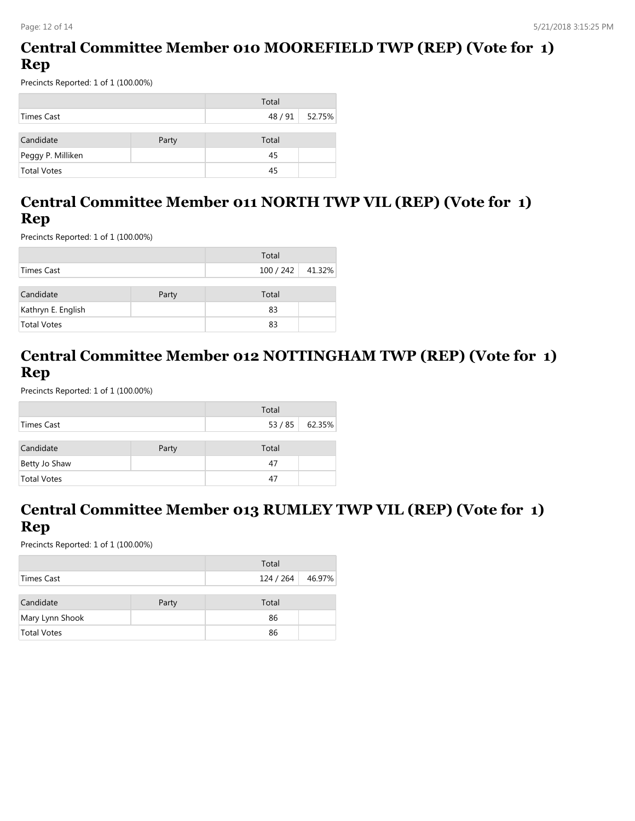## **Central Committee Member 010 MOOREFIELD TWP (REP) (Vote for 1) Rep**

Precincts Reported: 1 of 1 (100.00%)

|                    |       | Total |                |
|--------------------|-------|-------|----------------|
| Times Cast         |       |       | 48 / 91 52.75% |
|                    |       |       |                |
| Candidate          | Party | Total |                |
| Peggy P. Milliken  |       | 45    |                |
| <b>Total Votes</b> |       | 45    |                |

#### **Central Committee Member 011 NORTH TWP VIL (REP) (Vote for 1) Rep**

Precincts Reported: 1 of 1 (100.00%)

|                    |       | Total            |  |
|--------------------|-------|------------------|--|
| Times Cast         |       | 100 / 242 41.32% |  |
| Candidate          | Party | Total            |  |
| Kathryn E. English |       | 83               |  |
| <b>Total Votes</b> |       | 83               |  |

## **Central Committee Member 012 NOTTINGHAM TWP (REP) (Vote for 1) Rep**

Precincts Reported: 1 of 1 (100.00%)

|                    |       | Total |        |
|--------------------|-------|-------|--------|
| Times Cast         |       | 53/85 | 62.35% |
|                    |       |       |        |
| Candidate          | Party | Total |        |
| Betty Jo Shaw      |       | 47    |        |
| <b>Total Votes</b> |       | 47    |        |

## **Central Committee Member 013 RUMLEY TWP VIL (REP) (Vote for 1) Rep**

|                    |       | Total            |  |
|--------------------|-------|------------------|--|
| Times Cast         |       | 124 / 264 46.97% |  |
|                    |       |                  |  |
| Candidate          | Party | Total            |  |
| Mary Lynn Shook    |       | 86               |  |
| <b>Total Votes</b> |       | 86               |  |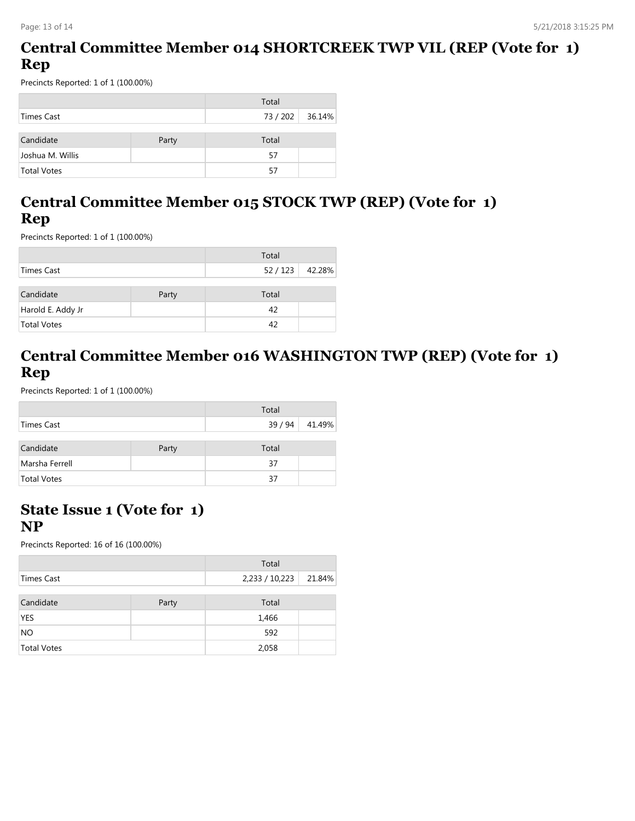## **Central Committee Member 014 SHORTCREEK TWP VIL (REP (Vote for 1) Rep**

Precincts Reported: 1 of 1 (100.00%)

|                    |       | Total         |  |
|--------------------|-------|---------------|--|
| Times Cast         |       | 73/202 36.14% |  |
|                    |       |               |  |
| Candidate          | Party | Total         |  |
| Joshua M. Willis   |       | 57            |  |
| <b>Total Votes</b> |       | 57            |  |

## **Central Committee Member 015 STOCK TWP (REP) (Vote for 1) Rep**

Precincts Reported: 1 of 1 (100.00%)

|                   |       | Total         |  |
|-------------------|-------|---------------|--|
| Times Cast        |       | 52/123 42.28% |  |
| Candidate         | Party | Total         |  |
| Harold E. Addy Jr |       | 42            |  |
| Total Votes       |       | 42            |  |

## **Central Committee Member 016 WASHINGTON TWP (REP) (Vote for 1) Rep**

Precincts Reported: 1 of 1 (100.00%)

|                    |       | Total   |        |
|--------------------|-------|---------|--------|
| Times Cast         |       | 39 / 94 | 41.49% |
|                    |       |         |        |
| Candidate          | Party | Total   |        |
| Marsha Ferrell     |       | 37      |        |
| <b>Total Votes</b> |       | 37      |        |

#### **State Issue 1 (Vote for 1) NP**

|                    |       | Total          |        |
|--------------------|-------|----------------|--------|
| Times Cast         |       | 2,233 / 10,223 | 21.84% |
|                    |       |                |        |
| Candidate          | Party | Total          |        |
| <b>YES</b>         |       | 1,466          |        |
| NO                 |       | 592            |        |
| <b>Total Votes</b> |       | 2,058          |        |